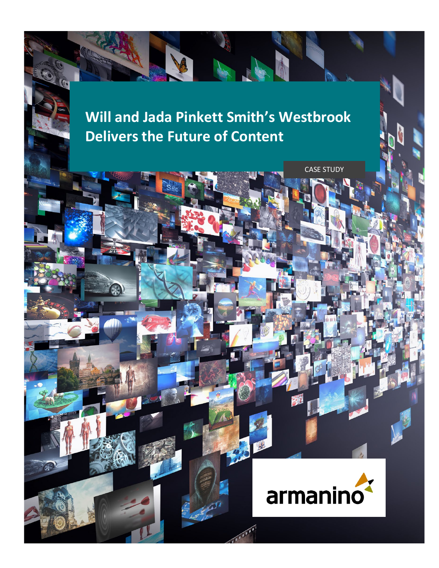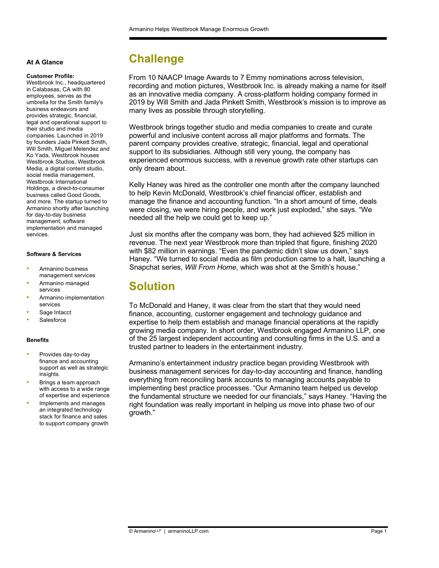#### **At A Glance**

#### **Customer Profile:**

Westbrook Inc., headquartered in Calabasas, CA with 80 employees, serves as the umbrella for the Smith family's business endeavors and provides strategic, financial, legal and operational support to their studio and media companies. Launched in 2019 by founders Jada Pinkett Smith, Will Smith, Miguel Melendez and Ko Yada, Westbrook houses Westbrook Studios, Westbrook Media, a digital content studio, social media management, Westbrook International Holdings, a direct-to-consumer business called Good Goods, and more. The startup turned to Armanino shortly after launching for day-to-day business management, software implementation and managed services.

### **Software & Services**

- Armanino business management services
- Armanino managed services
- Armanino implementation services
- Sage Intacct
- **Salesforce**

### **Benefits**

- Provides day-to-day finance and accounting support as well as strategic insights
- Brings a team approach with access to a wide range of expertise and experience
- Implements and manages an integrated technology stack for finance and sales to support company growth

### **Challenge**

From 10 NAACP Image Awards to 7 Emmy nominations across television, recording and motion pictures, Westbrook Inc. is already making a name for itself as an innovative media company. A cross-platform holding company formed in 2019 by Will Smith and Jada Pinkett Smith, Westbrook's mission is to improve as many lives as possible through storytelling.

Westbrook brings together studio and media companies to create and curate powerful and inclusive content across all major platforms and formats. The parent company provides creative, strategic, financial, legal and operational support to its subsidiaries. Although still very young, the company has experienced enormous success, with a revenue growth rate other startups can only dream about.

Kelly Haney was hired as the controller one month after the company launched to help Kevin McDonald, Westbrook's chief financial officer, establish and manage the finance and accounting function. "In a short amount of time, deals were closing, we were hiring people, and work just exploded," she says. "We needed all the help we could get to keep up."

Just six months after the company was born, they had achieved \$25 million in revenue. The next year Westbrook more than tripled that figure, finishing 2020 with \$82 million in earnings. "Even the pandemic didn't slow us down," says Haney. "We turned to social media as film production came to a halt, launching a Snapchat series, *Will From Home*, which was shot at the Smith's house."

### **Solution**

To McDonald and Haney, it was clear from the start that they would need finance, accounting, customer engagement and technology guidance and expertise to help them establish and manage financial operations at the rapidly growing media company. In short order, Westbrook engaged Armanino LLP, one of the 25 largest independent accounting and consulting firms in the U.S. and a trusted partner to leaders in the entertainment industry.

Armanino's entertainment industry practice began providing Westbrook with business management services for day-to-day accounting and finance, handling everything from reconciling bank accounts to managing accounts payable to implementing best practice processes. "Our Armanino team helped us develop the fundamental structure we needed for our financials," says Haney. "Having the right foundation was really important in helping us move into phase two of our growth."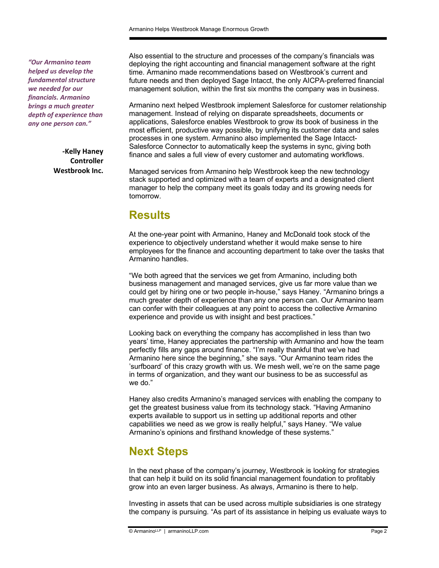*"Our Armanino team helped us develop the fundamental structure we needed for our financials. Armanino brings a much greater depth of experience than any one person can."* 

> **-Kelly Haney Controller Westbrook Inc.**

Also essential to the structure and processes of the company's financials was deploying the right accounting and financial management software at the right time. Armanino made recommendations based on Westbrook's current and future needs and then deployed Sage Intacct, the only AICPA-preferred financial management solution, within the first six months the company was in business.

Armanino next helped Westbrook implement Salesforce for customer relationship management. Instead of relying on disparate spreadsheets, documents or applications, Salesforce enables Westbrook to grow its book of business in the most efficient, productive way possible, by unifying its customer data and sales processes in one system. Armanino also implemented the Sage Intacct-Salesforce Connector to automatically keep the systems in sync, giving both finance and sales a full view of every customer and automating workflows.

Managed services from Armanino help Westbrook keep the new technology stack supported and optimized with a team of experts and a designated client manager to help the company meet its goals today and its growing needs for tomorrow.

### **Results**

At the one-year point with Armanino, Haney and McDonald took stock of the experience to objectively understand whether it would make sense to hire employees for the finance and accounting department to take over the tasks that Armanino handles.

"We both agreed that the services we get from Armanino, including both business management and managed services, give us far more value than we could get by hiring one or two people in-house," says Haney. "Armanino brings a much greater depth of experience than any one person can. Our Armanino team can confer with their colleagues at any point to access the collective Armanino experience and provide us with insight and best practices."

Looking back on everything the company has accomplished in less than two years' time, Haney appreciates the partnership with Armanino and how the team perfectly fills any gaps around finance. "I'm really thankful that we've had Armanino here since the beginning," she says. "Our Armanino team rides the 'surfboard' of this crazy growth with us. We mesh well, we're on the same page in terms of organization, and they want our business to be as successful as we do."

Haney also credits Armanino's managed services with enabling the company to get the greatest business value from its technology stack. "Having Armanino experts available to support us in setting up additional reports and other capabilities we need as we grow is really helpful," says Haney. "We value Armanino's opinions and firsthand knowledge of these systems."

## **Next Steps**

In the next phase of the company's journey, Westbrook is looking for strategies that can help it build on its solid financial management foundation to profitably grow into an even larger business. As always, Armanino is there to help.

Investing in assets that can be used across multiple subsidiaries is one strategy the company is pursuing. "As part of its assistance in helping us evaluate ways to